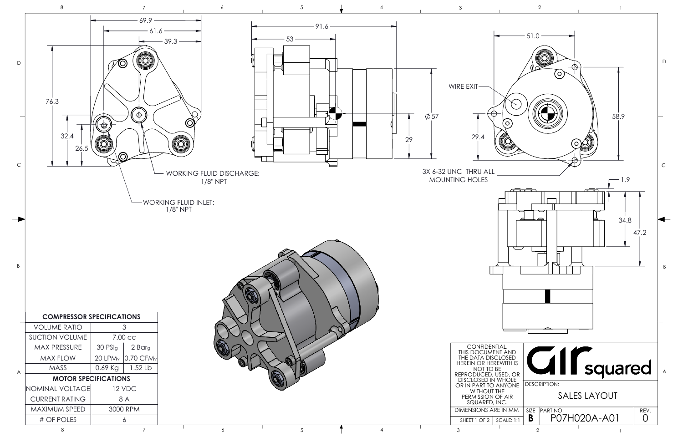